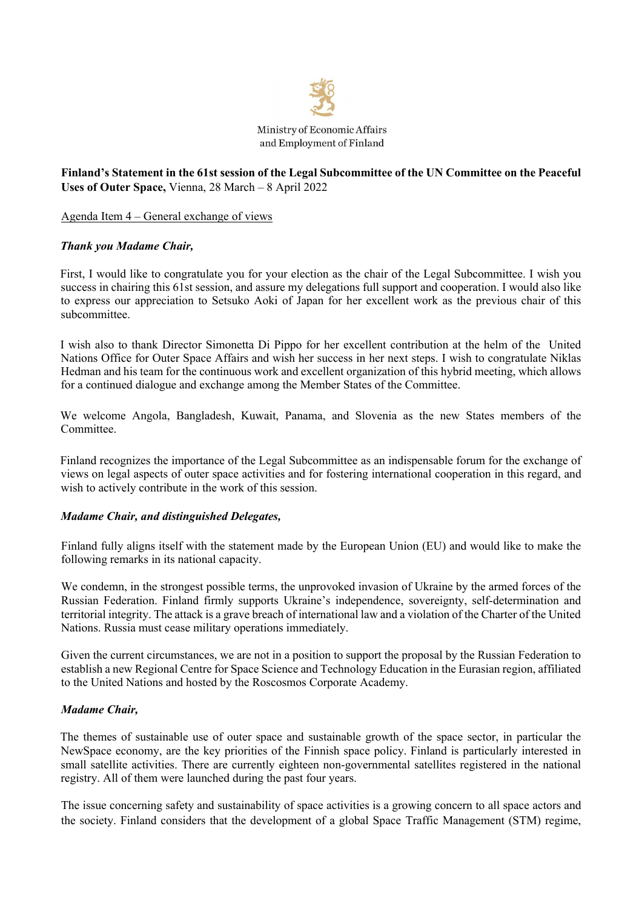

# **Finland's Statement in the 61st session of the Legal Subcommittee of the UN Committee on the Peaceful Uses of Outer Space,** Vienna, 28 March – 8 April 2022

Agenda Item 4 – General exchange of views

### *Thank you Madame Chair,*

First, I would like to congratulate you for your election as the chair of the Legal Subcommittee. I wish you success in chairing this 61st session, and assure my delegations full support and cooperation. I would also like to express our appreciation to Setsuko Aoki of Japan for her excellent work as the previous chair of this subcommittee.

I wish also to thank Director Simonetta Di Pippo for her excellent contribution at the helm of the United Nations Office for Outer Space Affairs and wish her success in her next steps. I wish to congratulate Niklas Hedman and his team for the continuous work and excellent organization of this hybrid meeting, which allows for a continued dialogue and exchange among the Member States of the Committee.

We welcome Angola, Bangladesh, Kuwait, Panama, and Slovenia as the new States members of the Committee.

Finland recognizes the importance of the Legal Subcommittee as an indispensable forum for the exchange of views on legal aspects of outer space activities and for fostering international cooperation in this regard, and wish to actively contribute in the work of this session.

#### *Madame Chair, and distinguished Delegates,*

Finland fully aligns itself with the statement made by the European Union (EU) and would like to make the following remarks in its national capacity.

We condemn, in the strongest possible terms, the unprovoked invasion of Ukraine by the armed forces of the Russian Federation. Finland firmly supports Ukraine's independence, sovereignty, self-determination and territorial integrity. The attack is a grave breach of international law and a violation of the Charter of the United Nations. Russia must cease military operations immediately.

Given the current circumstances, we are not in a position to support the proposal by the Russian Federation to establish a new Regional Centre for Space Science and Technology Education in the Eurasian region, affiliated to the United Nations and hosted by the Roscosmos Corporate Academy.

#### *Madame Chair,*

The themes of sustainable use of outer space and sustainable growth of the space sector, in particular the NewSpace economy, are the key priorities of the Finnish space policy. Finland is particularly interested in small satellite activities. There are currently eighteen non-governmental satellites registered in the national registry. All of them were launched during the past four years.

The issue concerning safety and sustainability of space activities is a growing concern to all space actors and the society. Finland considers that the development of a global Space Traffic Management (STM) regime,